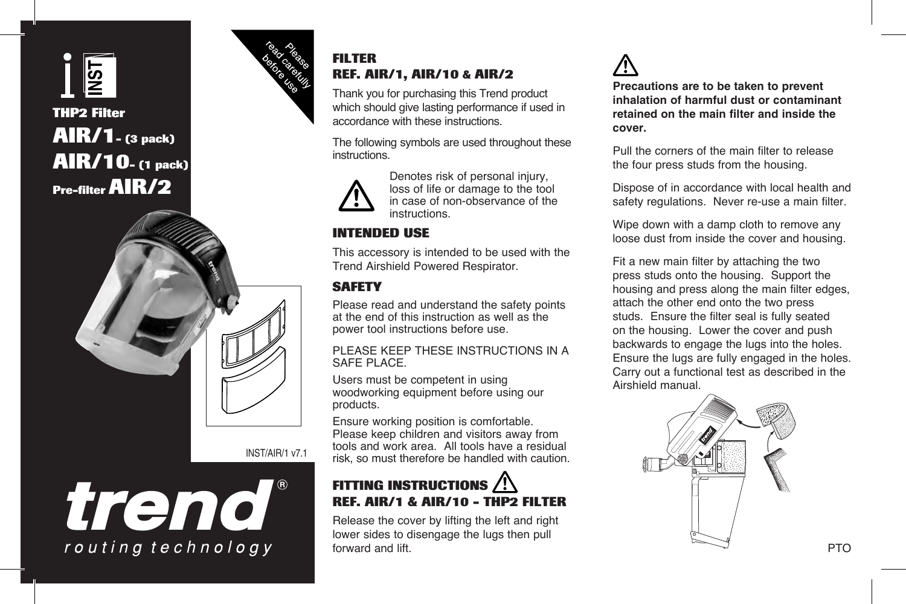

# **THP2 Filter AIR/1- (3 pack) AIR/10- (1 pack) Pre-filter AIR/2**



INST/AIR/1 v7.1

trend routing technology



# **FILTER REF. AIR/1, AIR/10 & AIR/2**

Thank you for purchasing this Trend product which should give lasting performance if used in accordance with these instructions.

The following symbols are used throughout these instructions.



Denotes risk of personal injury, loss of life or damage to the tool in case of non-observance of the instructions.

# **INTENDED USE**

This accessory is intended to be used with the Trend Airshield Powered Respirator.

## **SAFETY**

Please read and understand the safety points at the end of this instruction as well as the power tool instructions before use.

#### PLEASE KEEP THESE INSTRUCTIONS IN A SAFE PLACE.

Users must be competent in using woodworking equipment before using our products.

Ensure working position is comfortable. Please keep children and visitors away from tools and work area. All tools have a residual risk, so must therefore be handled with caution.

# **FITTING INSTRUCTIONS REF. AIR/1 & AIR/10 - THP2 FILTER**

Release the cover by lifting the left and right lower sides to disengage the lugs then pull forward and lift.



**Precautions are to be taken to prevent inhalation of harmful dust or contaminant retained on the main filter and inside the cover.**

Pull the corners of the main filter to release the four press studs from the housing.

Dispose of in accordance with local health and safety regulations. Never re-use a main filter.

Wipe down with a damp cloth to remove any loose dust from inside the cover and housing.

Fit a new main filter by attaching the two press studs onto the housing. Support the housing and press along the main filter edges, attach the other end onto the two press studs. Ensure the filter seal is fully seated on the housing. Lower the cover and push backwards to engage the lugs into the holes. Ensure the lugs are fully engaged in the holes. Carry out a functional test as described in the Airshield manual.